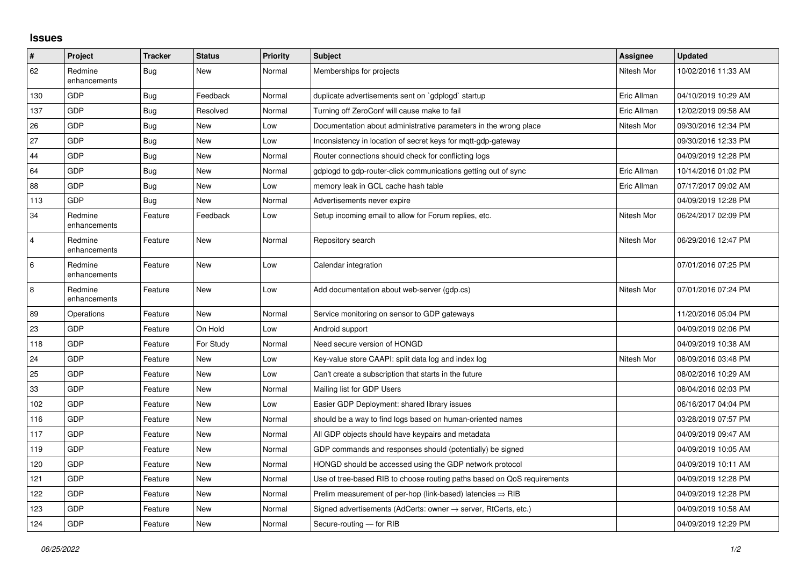## **Issues**

| #              | Project                 | <b>Tracker</b> | <b>Status</b> | <b>Priority</b> | <b>Subject</b>                                                             | Assignee    | <b>Updated</b>      |
|----------------|-------------------------|----------------|---------------|-----------------|----------------------------------------------------------------------------|-------------|---------------------|
| 62             | Redmine<br>enhancements | <b>Bug</b>     | <b>New</b>    | Normal          | Memberships for projects                                                   | Nitesh Mor  | 10/02/2016 11:33 AM |
| 130            | GDP                     | Bug            | Feedback      | Normal          | duplicate advertisements sent on `gdplogd` startup                         | Eric Allman | 04/10/2019 10:29 AM |
| 137            | <b>GDP</b>              | <b>Bug</b>     | Resolved      | Normal          | Turning off ZeroConf will cause make to fail                               | Eric Allman | 12/02/2019 09:58 AM |
| 26             | GDP                     | Bug            | <b>New</b>    | Low             | Documentation about administrative parameters in the wrong place           | Nitesh Mor  | 09/30/2016 12:34 PM |
| 27             | GDP                     | Bug            | <b>New</b>    | Low             | Inconsistency in location of secret keys for mqtt-gdp-gateway              |             | 09/30/2016 12:33 PM |
| 44             | GDP                     | Bug            | <b>New</b>    | Normal          | Router connections should check for conflicting logs                       |             | 04/09/2019 12:28 PM |
| 64             | GDP                     | <b>Bug</b>     | <b>New</b>    | Normal          | gdplogd to gdp-router-click communications getting out of sync             | Eric Allman | 10/14/2016 01:02 PM |
| 88             | GDP                     | Bug            | <b>New</b>    | Low             | memory leak in GCL cache hash table                                        | Eric Allman | 07/17/2017 09:02 AM |
| 113            | GDP                     | <b>Bug</b>     | <b>New</b>    | Normal          | Advertisements never expire                                                |             | 04/09/2019 12:28 PM |
| 34             | Redmine<br>enhancements | Feature        | Feedback      | Low             | Setup incoming email to allow for Forum replies, etc.                      | Nitesh Mor  | 06/24/2017 02:09 PM |
| $\overline{4}$ | Redmine<br>enhancements | Feature        | <b>New</b>    | Normal          | Repository search                                                          | Nitesh Mor  | 06/29/2016 12:47 PM |
| 6              | Redmine<br>enhancements | Feature        | New           | Low             | Calendar integration                                                       |             | 07/01/2016 07:25 PM |
| 8              | Redmine<br>enhancements | Feature        | New           | Low             | Add documentation about web-server (gdp.cs)                                | Nitesh Mor  | 07/01/2016 07:24 PM |
| 89             | Operations              | Feature        | New           | Normal          | Service monitoring on sensor to GDP gateways                               |             | 11/20/2016 05:04 PM |
| 23             | GDP                     | Feature        | On Hold       | Low             | Android support                                                            |             | 04/09/2019 02:06 PM |
| 118            | GDP                     | Feature        | For Study     | Normal          | Need secure version of HONGD                                               |             | 04/09/2019 10:38 AM |
| 24             | GDP                     | Feature        | <b>New</b>    | Low             | Key-value store CAAPI: split data log and index log                        | Nitesh Mor  | 08/09/2016 03:48 PM |
| 25             | GDP                     | Feature        | <b>New</b>    | Low             | Can't create a subscription that starts in the future                      |             | 08/02/2016 10:29 AM |
| 33             | GDP                     | Feature        | New           | Normal          | Mailing list for GDP Users                                                 |             | 08/04/2016 02:03 PM |
| 102            | GDP                     | Feature        | New           | Low             | Easier GDP Deployment: shared library issues                               |             | 06/16/2017 04:04 PM |
| 116            | GDP                     | Feature        | <b>New</b>    | Normal          | should be a way to find logs based on human-oriented names                 |             | 03/28/2019 07:57 PM |
| 117            | GDP                     | Feature        | New           | Normal          | All GDP objects should have keypairs and metadata                          |             | 04/09/2019 09:47 AM |
| 119            | GDP                     | Feature        | New           | Normal          | GDP commands and responses should (potentially) be signed                  |             | 04/09/2019 10:05 AM |
| 120            | GDP                     | Feature        | <b>New</b>    | Normal          | HONGD should be accessed using the GDP network protocol                    |             | 04/09/2019 10:11 AM |
| 121            | GDP                     | Feature        | <b>New</b>    | Normal          | Use of tree-based RIB to choose routing paths based on QoS requirements    |             | 04/09/2019 12:28 PM |
| 122            | GDP                     | Feature        | New           | Normal          | Prelim measurement of per-hop (link-based) latencies $\Rightarrow$ RIB     |             | 04/09/2019 12:28 PM |
| 123            | GDP                     | Feature        | <b>New</b>    | Normal          | Signed advertisements (AdCerts: owner $\rightarrow$ server, RtCerts, etc.) |             | 04/09/2019 10:58 AM |
| 124            | GDP                     | Feature        | <b>New</b>    | Normal          | Secure-routing - for RIB                                                   |             | 04/09/2019 12:29 PM |